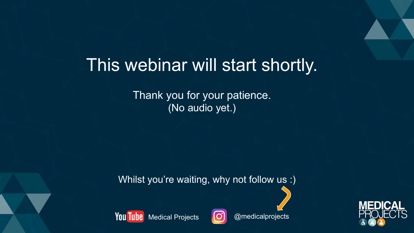# This webinar will start shortly.

Thank you for your patience. (No audio yet.)

Whilst you're waiting, why not follow us :)





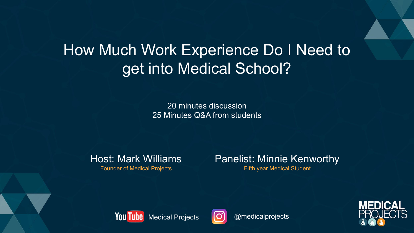# How Much Work Experience Do I Need to get into Medical School?

20 minutes discussion 25 Minutes Q&A from students

Host: Mark Williams

Founder of Medical Projects

### Panelist: Minnie Kenworthy

Fifth year Medical Student





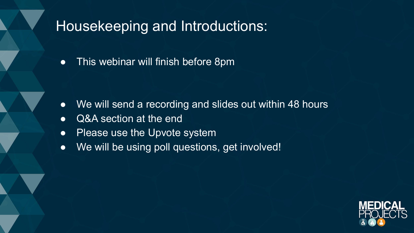## Housekeeping and Introductions:

● This webinar will finish before 8pm

- We will send a recording and slides out within 48 hours
- Q&A section at the end
- Please use the Upvote system
- We will be using poll questions, get involved!

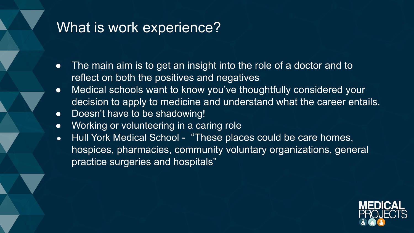## What is work experience?

- The main aim is to get an insight into the role of a doctor and to reflect on both the positives and negatives
- Medical schools want to know you've thoughtfully considered your decision to apply to medicine and understand what the career entails.
- Doesn't have to be shadowing!
- Working or volunteering in a caring role
- Hull York Medical School "These places could be care homes, hospices, pharmacies, community voluntary organizations, general practice surgeries and hospitals"

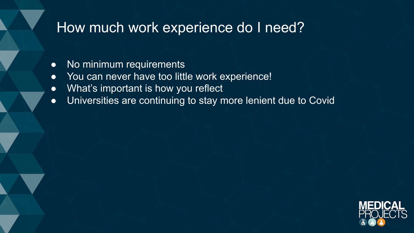# How much work experience do I need?

- No minimum requirements
- You can never have too little work experience!
- What's important is how you reflect
- Universities are continuing to stay more lenient due to Covid

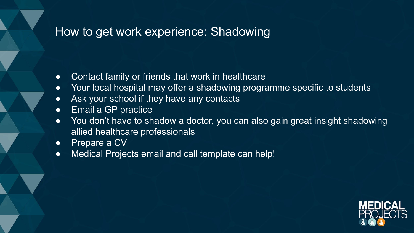### How to get work experience: Shadowing

- Contact family or friends that work in healthcare
- Your local hospital may offer a shadowing programme specific to students
- Ask your school if they have any contacts
- Email a GP practice
- You don't have to shadow a doctor, you can also gain great insight shadowing allied healthcare professionals
- Prepare a CV
- Medical Projects email and call template can help!

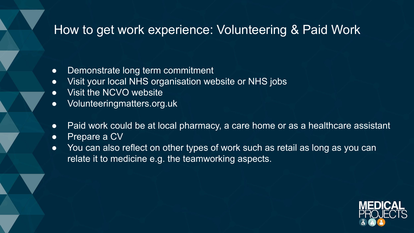### How to get work experience: Volunteering & Paid Work

- Demonstrate long term commitment
- Visit your local NHS organisation website or NHS jobs
- Visit the NCVO website
- Volunteeringmatters.org.uk
- Paid work could be at local pharmacy, a care home or as a healthcare assistant
- Prepare a CV
- You can also reflect on other types of work such as retail as long as you can relate it to medicine e.g. the teamworking aspects.

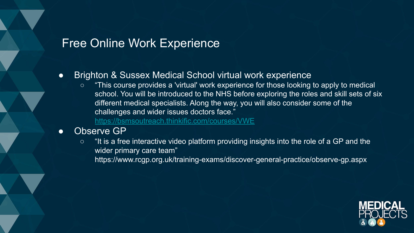### Free Online Work Experience

#### ● Brighton & Sussex Medical School virtual work experience

○ "This course provides a 'virtual' work experience for those looking to apply to medical school. You will be introduced to the NHS before exploring the roles and skill sets of six different medical specialists. Along the way, you will also consider some of the challenges and wider issues doctors face."

<https://bsmsoutreach.thinkific.com/courses/VWE>

#### ● Observe GP

○ "It is a free interactive video platform providing insights into the role of a GP and the wider primary care team" https://www.rcgp.org.uk/training-exams/discover-general-practice/observe-gp.aspx

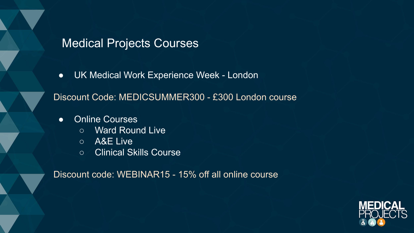### Medical Projects Courses

● UK Medical Work Experience Week - London

Discount Code: MEDICSUMMER300 - £300 London course

- Online Courses
	- Ward Round Live
	- A&E Live
	- Clinical Skills Course

Discount code: WEBINAR15 - 15% off all online course

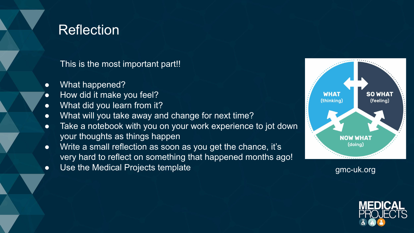## **Reflection**

This is the most important part!!

- What happened?
- How did it make you feel?
- What did you learn from it?
- What will you take away and change for next time?
- Take a notebook with you on your work experience to jot down your thoughts as things happen
- Write a small reflection as soon as you get the chance, it's very hard to reflect on something that happened months ago!
- Use the Medical Projects template gmc-uk.org gmc-uk.org